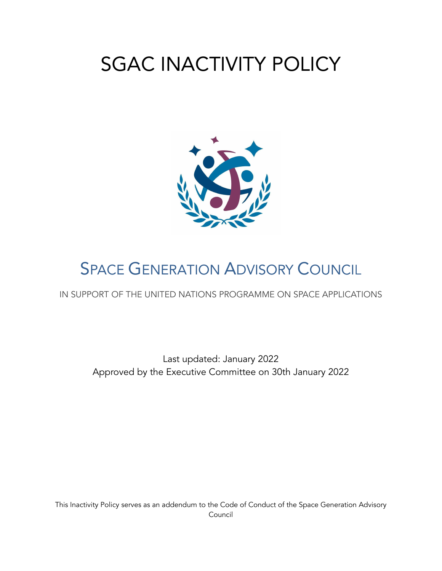# SGAC INACTIVITY POLICY



## **SPACE GENERATION ADVISORY COUNCIL**

IN SUPPORT OF THE UNITED NATIONS PROGRAMME ON SPACE APPLICATIONS

Last updated: January 2022 Approved by the Executive Committee on 30th January 2022

This Inactivity Policy serves as an addendum to the Code of Conduct of the Space Generation Advisory Council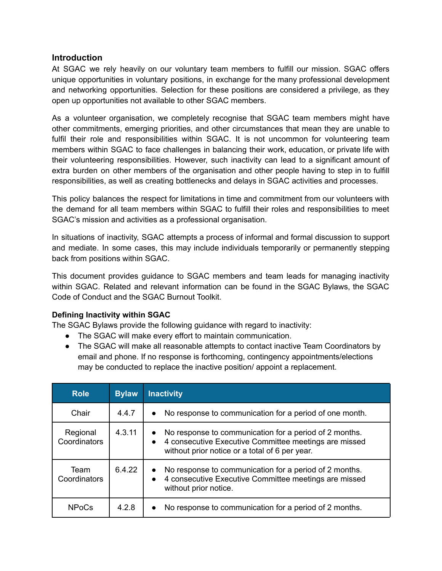#### **Introduction**

At SGAC we rely heavily on our voluntary team members to fulfill our mission. SGAC offers unique opportunities in voluntary positions, in exchange for the many professional development and networking opportunities. Selection for these positions are considered a privilege, as they open up opportunities not available to other SGAC members.

As a volunteer organisation, we completely recognise that SGAC team members might have other commitments, emerging priorities, and other circumstances that mean they are unable to fulfil their role and responsibilities within SGAC. It is not uncommon for volunteering team members within SGAC to face challenges in balancing their work, education, or private life with their volunteering responsibilities. However, such inactivity can lead to a significant amount of extra burden on other members of the organisation and other people having to step in to fulfill responsibilities, as well as creating bottlenecks and delays in SGAC activities and processes.

This policy balances the respect for limitations in time and commitment from our volunteers with the demand for all team members within SGAC to fulfill their roles and responsibilities to meet SGAC's mission and activities as a professional organisation.

In situations of inactivity, SGAC attempts a process of informal and formal discussion to support and mediate. In some cases, this may include individuals temporarily or permanently stepping back from positions within SGAC.

This document provides guidance to SGAC members and team leads for managing inactivity within SGAC. Related and relevant information can be found in the SGAC Bylaws, the SGAC Code of Conduct and the SGAC Burnout Toolkit.

#### **Defining Inactivity within SGAC**

The SGAC Bylaws provide the following guidance with regard to inactivity:

- The SGAC will make every effort to maintain communication.
- The SGAC will make all reasonable attempts to contact inactive Team Coordinators by email and phone. If no response is forthcoming, contingency appointments/elections may be conducted to replace the inactive position/ appoint a replacement.

| <b>Role</b>              | <b>Bylaw</b> | <b>Inactivity</b>                                                                                                                                                                           |
|--------------------------|--------------|---------------------------------------------------------------------------------------------------------------------------------------------------------------------------------------------|
| Chair                    | 4.4.7        | No response to communication for a period of one month.<br>$\bullet$                                                                                                                        |
| Regional<br>Coordinators | 4.3.11       | No response to communication for a period of 2 months.<br>$\bullet$<br>4 consecutive Executive Committee meetings are missed<br>$\bullet$<br>without prior notice or a total of 6 per year. |
| Team<br>Coordinators     | 6.4.22       | No response to communication for a period of 2 months.<br>$\bullet$<br>4 consecutive Executive Committee meetings are missed<br>$\bullet$<br>without prior notice.                          |
| <b>NPoCs</b>             | 4.2.8        | No response to communication for a period of 2 months.<br>$\bullet$                                                                                                                         |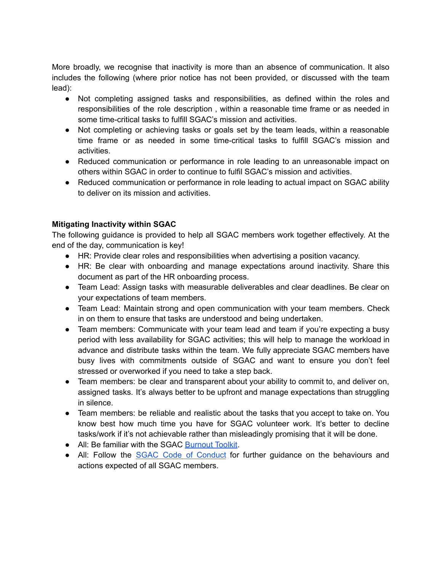More broadly, we recognise that inactivity is more than an absence of communication. It also includes the following (where prior notice has not been provided, or discussed with the team lead):

- Not completing assigned tasks and responsibilities, as defined within the roles and responsibilities of the role description , within a reasonable time frame or as needed in some time-critical tasks to fulfill SGAC's mission and activities.
- Not completing or achieving tasks or goals set by the team leads, within a reasonable time frame or as needed in some time-critical tasks to fulfill SGAC's mission and activities.
- Reduced communication or performance in role leading to an unreasonable impact on others within SGAC in order to continue to fulfil SGAC's mission and activities.
- Reduced communication or performance in role leading to actual impact on SGAC ability to deliver on its mission and activities.

### **Mitigating Inactivity within SGAC**

The following guidance is provided to help all SGAC members work together effectively. At the end of the day, communication is key!

- HR: Provide clear roles and responsibilities when advertising a position vacancy.
- HR: Be clear with onboarding and manage expectations around inactivity. Share this document as part of the HR onboarding process.
- Team Lead: Assign tasks with measurable deliverables and clear deadlines. Be clear on your expectations of team members.
- Team Lead: Maintain strong and open communication with your team members. Check in on them to ensure that tasks are understood and being undertaken.
- Team members: Communicate with your team lead and team if you're expecting a busy period with less availability for SGAC activities; this will help to manage the workload in advance and distribute tasks within the team. We fully appreciate SGAC members have busy lives with commitments outside of SGAC and want to ensure you don't feel stressed or overworked if you need to take a step back.
- Team members: be clear and transparent about your ability to commit to, and deliver on, assigned tasks. It's always better to be upfront and manage expectations than struggling in silence.
- Team members: be reliable and realistic about the tasks that you accept to take on. You know best how much time you have for SGAC volunteer work. It's better to decline tasks/work if it's not achievable rather than misleadingly promising that it will be done.
- All: Be familiar with the SGAC [Burnout](https://drive.google.com/file/d/1vfV_1FwCgzdkuWtR1Jyr_F-PGGBkxqYE/view?usp=sharing) Toolkit.
- All: Follow the **SGAC Code of [Conduct](https://spacegeneration.org/policies)** for further guidance on the behaviours and actions expected of all SGAC members.